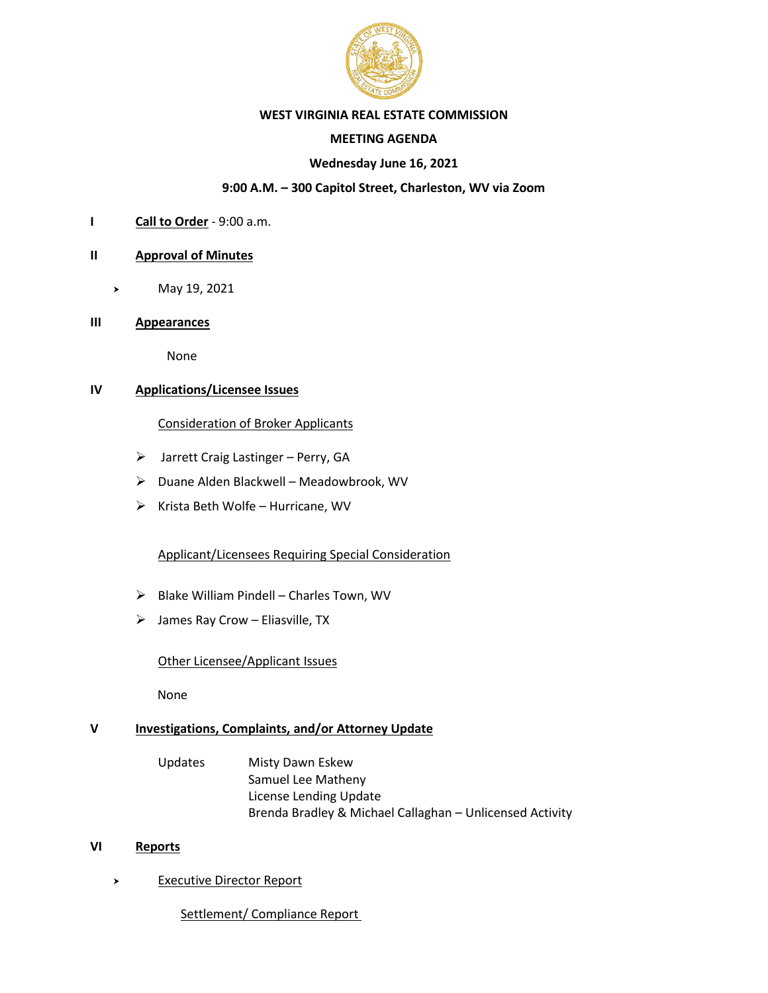

#### **WEST VIRGINIA REAL ESTATE COMMISSION**

# **MEETING AGENDA**

#### **Wednesday June 16, 2021**

#### **9:00 A.M. – 300 Capitol Street, Charleston, WV via Zoom**

**I Call to Order** - 9:00 a.m.

#### **II Approval of Minutes**

- May 19, 2021
- **III Appearances**

None

# **IV Applications/Licensee Issues**

#### Consideration of Broker Applicants

- ➢ Jarrett Craig Lastinger Perry, GA
- ➢ Duane Alden Blackwell Meadowbrook, WV
- $\triangleright$  Krista Beth Wolfe Hurricane, WV

# Applicant/Licensees Requiring Special Consideration

- ➢ Blake William Pindell Charles Town, WV
- $\triangleright$  James Ray Crow Eliasville, TX

#### Other Licensee/Applicant Issues

None

# **V Investigations, Complaints, and/or Attorney Update**

Updates Misty Dawn Eskew Samuel Lee Matheny License Lending Update Brenda Bradley & Michael Callaghan – Unlicensed Activity

# **VI Reports**

- > Executive Director Report
	- Settlement/ Compliance Report